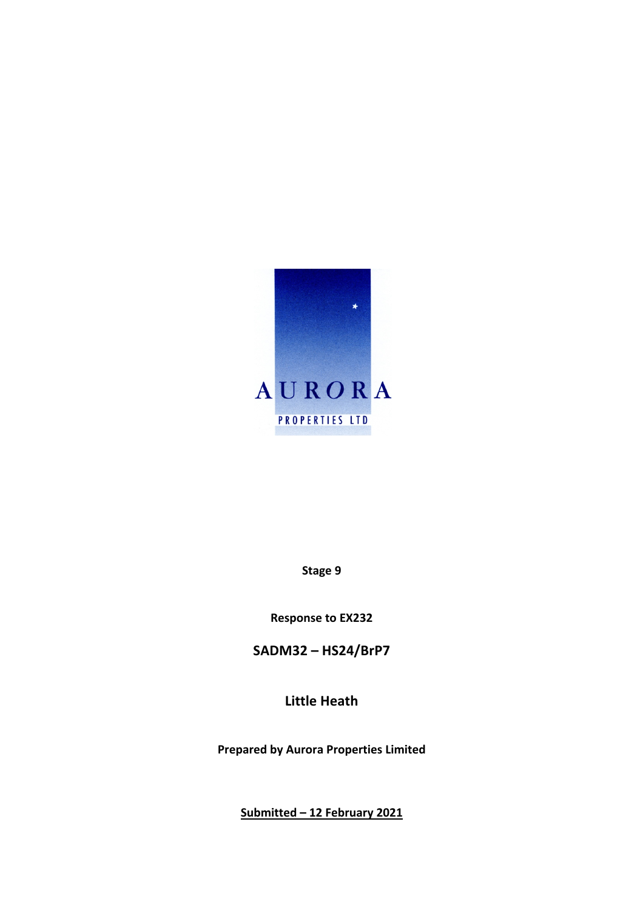

**Stage 9**

**Response to EX232**

**SADM32 – HS24/BrP7**

**Little Heath**

**Prepared by Aurora Properties Limited**

**Submitted – 12 February 2021**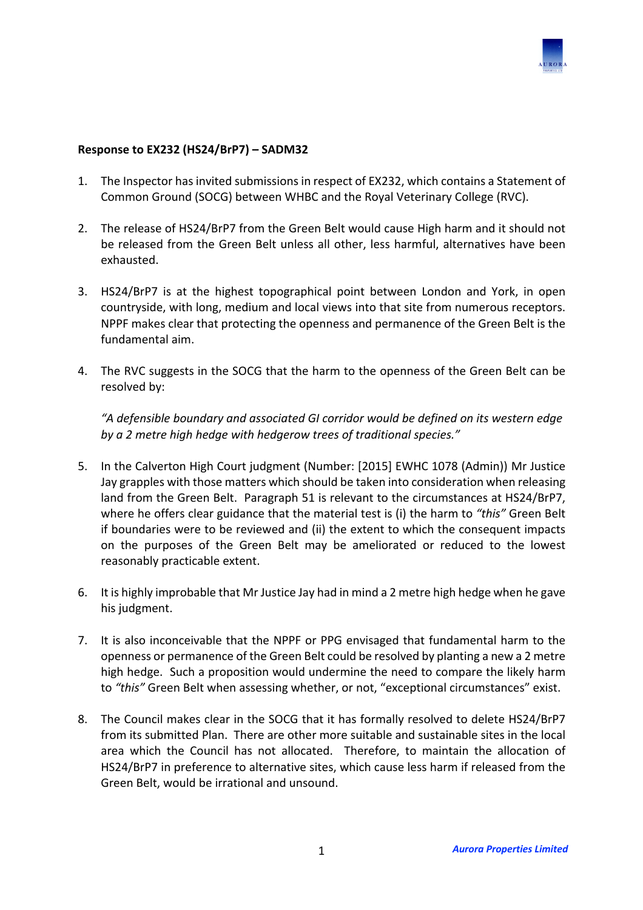

## **Response to EX232 (HS24/BrP7) – SADM32**

- 1. The Inspector has invited submissions in respect of EX232, which contains a Statement of Common Ground (SOCG) between WHBC and the Royal Veterinary College (RVC).
- 2. The release of HS24/BrP7 from the Green Belt would cause High harm and it should not be released from the Green Belt unless all other, less harmful, alternatives have been exhausted.
- 3. HS24/BrP7 is at the highest topographical point between London and York, in open countryside, with long, medium and local views into that site from numerous receptors. NPPF makes clear that protecting the openness and permanence of the Green Belt is the fundamental aim.
- 4. The RVC suggests in the SOCG that the harm to the openness of the Green Belt can be resolved by:

*"A defensible boundary and associated GI corridor would be defined on its western edge by a 2 metre high hedge with hedgerow trees of traditional species."*

- 5. In the Calverton High Court judgment (Number: [2015] EWHC 1078 (Admin)) Mr Justice Jay grapples with those matters which should be taken into consideration when releasing land from the Green Belt. Paragraph 51 is relevant to the circumstances at HS24/BrP7, where he offers clear guidance that the material test is (i) the harm to *"this"* Green Belt if boundaries were to be reviewed and (ii) the extent to which the consequent impacts on the purposes of the Green Belt may be ameliorated or reduced to the lowest reasonably practicable extent.
- 6. It is highly improbable that Mr Justice Jay had in mind a 2 metre high hedge when he gave his judgment.
- 7. It is also inconceivable that the NPPF or PPG envisaged that fundamental harm to the openness or permanence of the Green Belt could be resolved by planting a new a 2 metre high hedge. Such a proposition would undermine the need to compare the likely harm to *"this"* Green Belt when assessing whether, or not, "exceptional circumstances" exist.
- 8. The Council makes clear in the SOCG that it has formally resolved to delete HS24/BrP7 from its submitted Plan. There are other more suitable and sustainable sites in the local area which the Council has not allocated. Therefore, to maintain the allocation of HS24/BrP7 in preference to alternative sites, which cause less harm if released from the Green Belt, would be irrational and unsound.